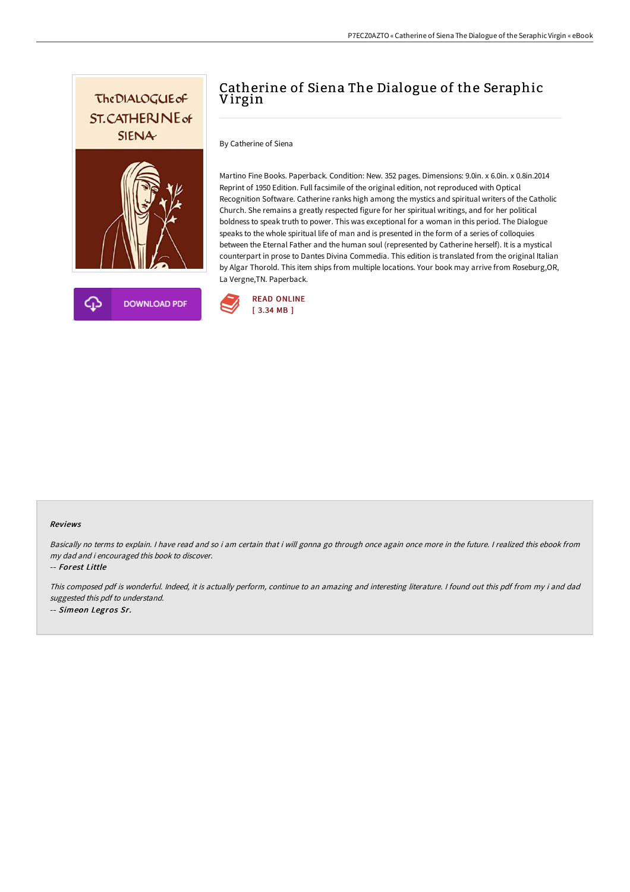



# Catherine of Siena The Dialogue of the Seraphic Virgin

By Catherine of Siena

Martino Fine Books. Paperback. Condition: New. 352 pages. Dimensions: 9.0in. x 6.0in. x 0.8in.2014 Reprint of 1950 Edition. Full facsimile of the original edition, not reproduced with Optical Recognition Software. Catherine ranks high among the mystics and spiritual writers of the Catholic Church. She remains a greatly respected figure for her spiritual writings, and for her political boldness to speak truth to power. This was exceptional for a woman in this period. The Dialogue speaks to the whole spiritual life of man and is presented in the form of a series of colloquies between the Eternal Father and the human soul (represented by Catherine herself). It is a mystical counterpart in prose to Dantes Divina Commedia. This edition is translated from the original Italian by Algar Thorold. This item ships from multiple locations. Your book may arrive from Roseburg,OR, La Vergne,TN. Paperback.



#### Reviews

Basically no terms to explain. <sup>I</sup> have read and so i am certain that i will gonna go through once again once more in the future. <sup>I</sup> realized this ebook from my dad and i encouraged this book to discover.

-- Forest Little

This composed pdf is wonderful. Indeed, it is actually perform, continue to an amazing and interesting literature. <sup>I</sup> found out this pdf from my i and dad suggested this pdf to understand. -- Simeon Legros Sr.